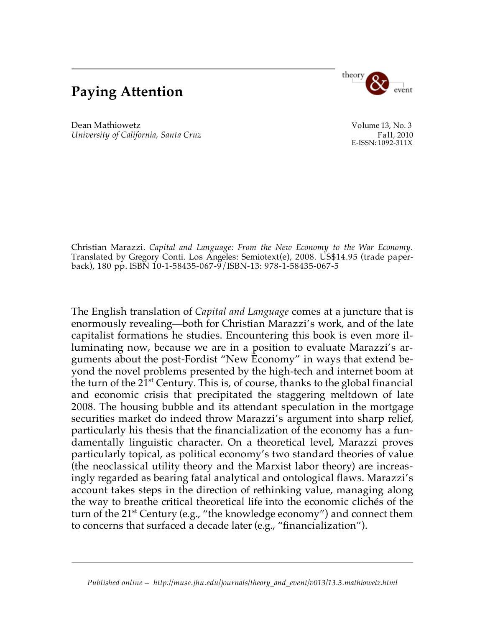## **Paying Attention**



Dean Mathiowetz Volume 13, No. 3 *University of California, Santa Cruz* Fall, 2010<br>E-ISSN: 1092-311X

Christian Marazzi. *Capital and Language: From the New Economy to the War Economy*. Translated by Gregory Conti. Los Angeles: Semiotext(e), 2008. US\$14.95 (trade paperback), 180 pp. ISBN 10-1-58435-067-9/ISBN-13: 978-1-58435-067-5

The English translation of *Capital and Language* comes at a juncture that is enormously revealing—both for Christian Marazzi's work, and of the late capitalist formations he studies. Encountering this book is even more illuminating now, because we are in a position to evaluate Marazzi's arguments about the post-Fordist "New Economy" in ways that extend beyond the novel problems presented by the high-tech and internet boom at the turn of the 21st Century. This is, of course, thanks to the global financial and economic crisis that precipitated the staggering meltdown of late 2008. The housing bubble and its attendant speculation in the mortgage securities market do indeed throw Marazzi's argument into sharp relief, particularly his thesis that the financialization of the economy has a fundamentally linguistic character. On a theoretical level, Marazzi proves particularly topical, as political economy's two standard theories of value (the neoclassical utility theory and the Marxist labor theory) are increasingly regarded as bearing fatal analytical and ontological flaws. Marazzi's account takes steps in the direction of rethinking value, managing along the way to breathe critical theoretical life into the economic clichés of the turn of the 21st Century (e.g., "the knowledge economy") and connect them to concerns that surfaced a decade later (e.g., "financialization").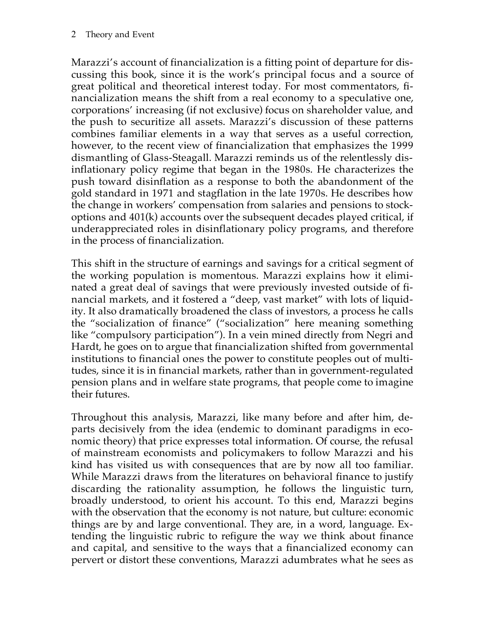Marazzi's account of financialization is a fitting point of departure for discussing this book, since it is the work's principal focus and a source of great political and theoretical interest today. For most commentators, financialization means the shift from a real economy to a speculative one, corporations' increasing (if not exclusive) focus on shareholder value, and the push to securitize all assets. Marazzi's discussion of these patterns combines familiar elements in a way that serves as a useful correction, however, to the recent view of financialization that emphasizes the 1999 dismantling of Glass-Steagall. Marazzi reminds us of the relentlessly disinflationary policy regime that began in the 1980s. He characterizes the push toward disinflation as a response to both the abandonment of the gold standard in 1971 and stagflation in the late 1970s. He describes how the change in workers' compensation from salaries and pensions to stockoptions and 401(k) accounts over the subsequent decades played critical, if underappreciated roles in disinflationary policy programs, and therefore in the process of financialization.

This shift in the structure of earnings and savings for a critical segment of the working population is momentous. Marazzi explains how it eliminated a great deal of savings that were previously invested outside of financial markets, and it fostered a "deep, vast market" with lots of liquidity. It also dramatically broadened the class of investors, a process he calls the "socialization of finance" ("socialization" here meaning something like "compulsory participation"). In a vein mined directly from Negri and Hardt, he goes on to argue that financialization shifted from governmental institutions to financial ones the power to constitute peoples out of multitudes, since it is in financial markets, rather than in government-regulated pension plans and in welfare state programs, that people come to imagine their futures.

Throughout this analysis, Marazzi, like many before and after him, departs decisively from the idea (endemic to dominant paradigms in economic theory) that price expresses total information. Of course, the refusal of mainstream economists and policymakers to follow Marazzi and his kind has visited us with consequences that are by now all too familiar. While Marazzi draws from the literatures on behavioral finance to justify discarding the rationality assumption, he follows the linguistic turn, broadly understood, to orient his account. To this end, Marazzi begins with the observation that the economy is not nature, but culture: economic things are by and large conventional. They are, in a word, language. Extending the linguistic rubric to refigure the way we think about finance and capital, and sensitive to the ways that a financialized economy can pervert or distort these conventions, Marazzi adumbrates what he sees as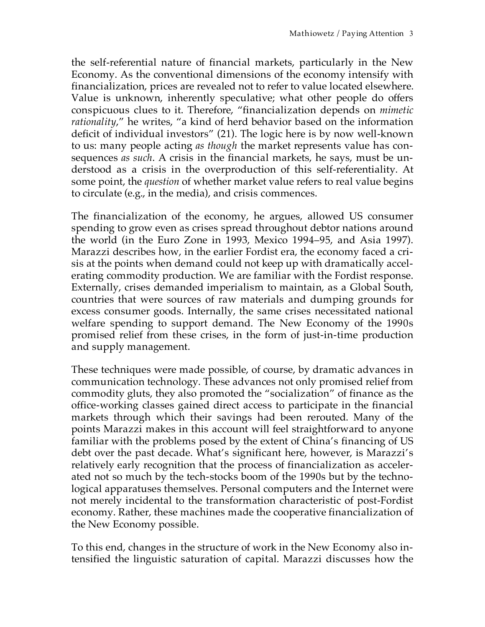the self-referential nature of financial markets, particularly in the New Economy. As the conventional dimensions of the economy intensify with financialization, prices are revealed not to refer to value located elsewhere. Value is unknown, inherently speculative; what other people do offers conspicuous clues to it. Therefore, "financialization depends on *mimetic rationality*," he writes, "a kind of herd behavior based on the information deficit of individual investors" (21). The logic here is by now well-known to us: many people acting *as though* the market represents value has consequences *as such*. A crisis in the financial markets, he says, must be understood as a crisis in the overproduction of this self-referentiality. At some point, the *question* of whether market value refers to real value begins to circulate (e.g., in the media), and crisis commences.

The financialization of the economy, he argues, allowed US consumer spending to grow even as crises spread throughout debtor nations around the world (in the Euro Zone in 1993, Mexico 1994–95, and Asia 1997). Marazzi describes how, in the earlier Fordist era, the economy faced a crisis at the points when demand could not keep up with dramatically accelerating commodity production. We are familiar with the Fordist response. Externally, crises demanded imperialism to maintain, as a Global South, countries that were sources of raw materials and dumping grounds for excess consumer goods. Internally, the same crises necessitated national welfare spending to support demand. The New Economy of the 1990s promised relief from these crises, in the form of just-in-time production and supply management.

These techniques were made possible, of course, by dramatic advances in communication technology. These advances not only promised relief from commodity gluts, they also promoted the "socialization" of finance as the office-working classes gained direct access to participate in the financial markets through which their savings had been rerouted. Many of the points Marazzi makes in this account will feel straightforward to anyone familiar with the problems posed by the extent of China's financing of US debt over the past decade. What's significant here, however, is Marazzi's relatively early recognition that the process of financialization as accelerated not so much by the tech-stocks boom of the 1990s but by the technological apparatuses themselves. Personal computers and the Internet were not merely incidental to the transformation characteristic of post-Fordist economy. Rather, these machines made the cooperative financialization of the New Economy possible.

To this end, changes in the structure of work in the New Economy also intensified the linguistic saturation of capital. Marazzi discusses how the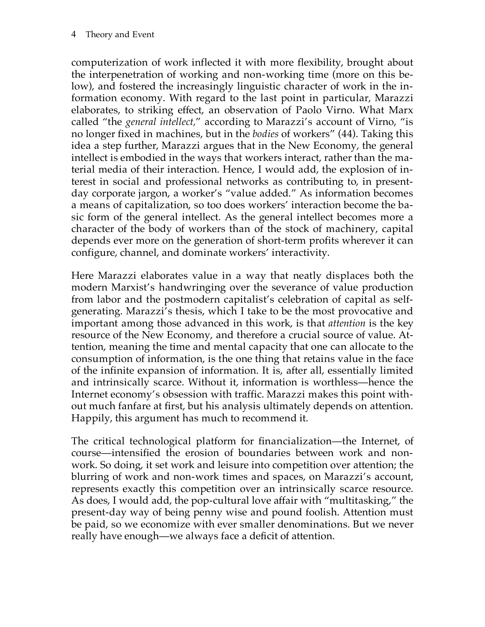computerization of work inflected it with more flexibility, brought about the interpenetration of working and non-working time (more on this below), and fostered the increasingly linguistic character of work in the information economy. With regard to the last point in particular, Marazzi elaborates, to striking effect, an observation of Paolo Virno. What Marx called "the *general intellect,*" according to Marazzi's account of Virno, "is no longer fixed in machines, but in the *bodies* of workers" (44). Taking this idea a step further, Marazzi argues that in the New Economy, the general intellect is embodied in the ways that workers interact, rather than the material media of their interaction. Hence, I would add, the explosion of interest in social and professional networks as contributing to, in presentday corporate jargon, a worker's "value added." As information becomes a means of capitalization, so too does workers' interaction become the basic form of the general intellect. As the general intellect becomes more a character of the body of workers than of the stock of machinery, capital depends ever more on the generation of short-term profits wherever it can configure, channel, and dominate workers' interactivity.

Here Marazzi elaborates value in a way that neatly displaces both the modern Marxist's handwringing over the severance of value production from labor and the postmodern capitalist's celebration of capital as selfgenerating. Marazzi's thesis, which I take to be the most provocative and important among those advanced in this work, is that *attention* is the key resource of the New Economy, and therefore a crucial source of value. Attention, meaning the time and mental capacity that one can allocate to the consumption of information, is the one thing that retains value in the face of the infinite expansion of information. It is, after all, essentially limited and intrinsically scarce. Without it, information is worthless—hence the Internet economy's obsession with traffic. Marazzi makes this point without much fanfare at first, but his analysis ultimately depends on attention. Happily, this argument has much to recommend it.

The critical technological platform for financialization—the Internet, of course—intensified the erosion of boundaries between work and nonwork. So doing, it set work and leisure into competition over attention; the blurring of work and non-work times and spaces, on Marazzi's account, represents exactly this competition over an intrinsically scarce resource. As does, I would add, the pop-cultural love affair with "multitasking," the present-day way of being penny wise and pound foolish. Attention must be paid, so we economize with ever smaller denominations. But we never really have enough—we always face a deficit of attention.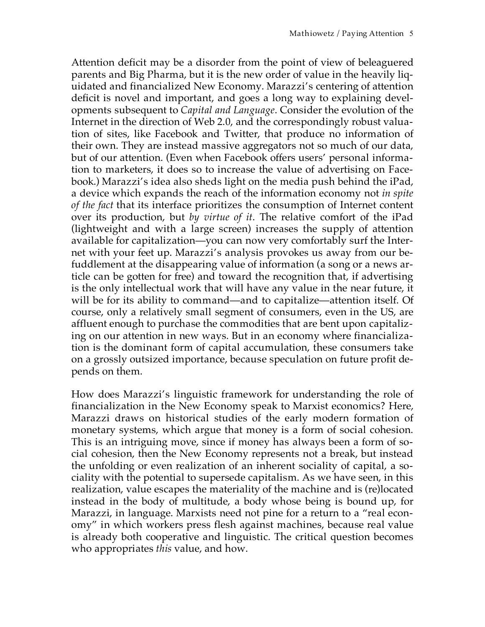Attention deficit may be a disorder from the point of view of beleaguered parents and Big Pharma, but it is the new order of value in the heavily liquidated and financialized New Economy. Marazzi's centering of attention deficit is novel and important, and goes a long way to explaining developments subsequent to *Capital and Language*. Consider the evolution of the Internet in the direction of Web 2.0, and the correspondingly robust valuation of sites, like Facebook and Twitter, that produce no information of their own. They are instead massive aggregators not so much of our data, but of our attention. (Even when Facebook offers users' personal information to marketers, it does so to increase the value of advertising on Facebook.) Marazzi's idea also sheds light on the media push behind the iPad, a device which expands the reach of the information economy not *in spite of the fact* that its interface prioritizes the consumption of Internet content over its production, but *by virtue of it*. The relative comfort of the iPad (lightweight and with a large screen) increases the supply of attention available for capitalization—you can now very comfortably surf the Internet with your feet up. Marazzi's analysis provokes us away from our befuddlement at the disappearing value of information (a song or a news article can be gotten for free) and toward the recognition that, if advertising is the only intellectual work that will have any value in the near future, it will be for its ability to command—and to capitalize—attention itself. Of course, only a relatively small segment of consumers, even in the US, are affluent enough to purchase the commodities that are bent upon capitalizing on our attention in new ways. But in an economy where financialization is the dominant form of capital accumulation, these consumers take on a grossly outsized importance, because speculation on future profit depends on them.

How does Marazzi's linguistic framework for understanding the role of financialization in the New Economy speak to Marxist economics? Here, Marazzi draws on historical studies of the early modern formation of monetary systems, which argue that money is a form of social cohesion. This is an intriguing move, since if money has always been a form of social cohesion, then the New Economy represents not a break, but instead the unfolding or even realization of an inherent sociality of capital, a sociality with the potential to supersede capitalism. As we have seen, in this realization, value escapes the materiality of the machine and is (re)located instead in the body of multitude, a body whose being is bound up, for Marazzi, in language. Marxists need not pine for a return to a "real economy" in which workers press flesh against machines, because real value is already both cooperative and linguistic. The critical question becomes who appropriates *this* value, and how.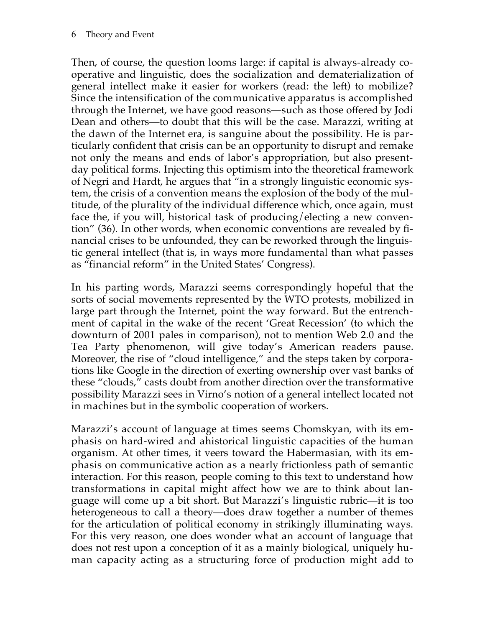Then, of course, the question looms large: if capital is always-already cooperative and linguistic, does the socialization and dematerialization of general intellect make it easier for workers (read: the left) to mobilize? Since the intensification of the communicative apparatus is accomplished through the Internet, we have good reasons—such as those offered by Jodi Dean and others—to doubt that this will be the case. Marazzi, writing at the dawn of the Internet era, is sanguine about the possibility. He is particularly confident that crisis can be an opportunity to disrupt and remake not only the means and ends of labor's appropriation, but also presentday political forms. Injecting this optimism into the theoretical framework of Negri and Hardt, he argues that "in a strongly linguistic economic system, the crisis of a convention means the explosion of the body of the multitude, of the plurality of the individual difference which, once again, must face the, if you will, historical task of producing/electing a new convention" (36). In other words, when economic conventions are revealed by financial crises to be unfounded, they can be reworked through the linguistic general intellect (that is, in ways more fundamental than what passes as "financial reform" in the United States' Congress).

In his parting words, Marazzi seems correspondingly hopeful that the sorts of social movements represented by the WTO protests, mobilized in large part through the Internet, point the way forward. But the entrenchment of capital in the wake of the recent 'Great Recession' (to which the downturn of 2001 pales in comparison), not to mention Web 2.0 and the Tea Party phenomenon, will give today's American readers pause. Moreover, the rise of "cloud intelligence," and the steps taken by corporations like Google in the direction of exerting ownership over vast banks of these "clouds," casts doubt from another direction over the transformative possibility Marazzi sees in Virno's notion of a general intellect located not in machines but in the symbolic cooperation of workers.

Marazzi's account of language at times seems Chomskyan, with its emphasis on hard-wired and ahistorical linguistic capacities of the human organism. At other times, it veers toward the Habermasian, with its emphasis on communicative action as a nearly frictionless path of semantic interaction. For this reason, people coming to this text to understand how transformations in capital might affect how we are to think about language will come up a bit short. But Marazzi's linguistic rubric—it is too heterogeneous to call a theory—does draw together a number of themes for the articulation of political economy in strikingly illuminating ways. For this very reason, one does wonder what an account of language that does not rest upon a conception of it as a mainly biological, uniquely human capacity acting as a structuring force of production might add to